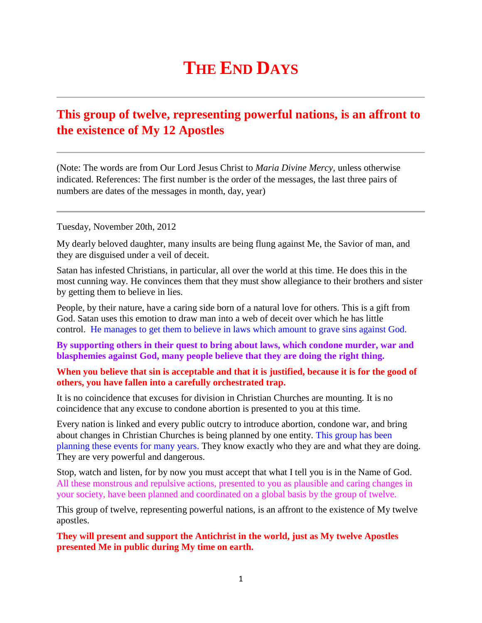## **THE END DAYS**

## **This group of twelve, representing powerful nations, is an affront to the existence of My 12 Apostles**

(Note: The words are from Our Lord Jesus Christ to *Maria Divine Mercy*, unless otherwise indicated. References: The first number is the order of the messages, the last three pairs of numbers are dates of the messages in month, day, year)

Tuesday, November 20th, 2012

My dearly beloved daughter, many insults are being flung against Me, the Savior of man, and they are disguised under a veil of deceit.

Satan has infested Christians, in particular, all over the world at this time. He does this in the most cunning way. He convinces them that they must show allegiance to their brothers and sister by getting them to believe in lies.

People, by their nature, have a caring side born of a natural love for others. This is a gift from God. Satan uses this emotion to draw man into a web of deceit over which he has little control. He manages to get them to believe in laws which amount to grave sins against God.

**By supporting others in their quest to bring about laws, which condone murder, war and blasphemies against God, many people believe that they are doing the right thing.**

## **When you believe that sin is acceptable and that it is justified, because it is for the good of others, you have fallen into a carefully orchestrated trap.**

It is no coincidence that excuses for division in Christian Churches are mounting. It is no coincidence that any excuse to condone abortion is presented to you at this time.

Every nation is linked and every public outcry to introduce abortion, condone war, and bring about changes in Christian Churches is being planned by one entity. This group has been planning these events for many years. They know exactly who they are and what they are doing. They are very powerful and dangerous.

Stop, watch and listen, for by now you must accept that what I tell you is in the Name of God. All these monstrous and repulsive actions, presented to you as plausible and caring changes in your society, have been planned and coordinated on a global basis by the group of twelve.

This group of twelve, representing powerful nations, is an affront to the existence of My twelve apostles.

**They will present and support the Antichrist in the world, just as My twelve Apostles presented Me in public during My time on earth.**